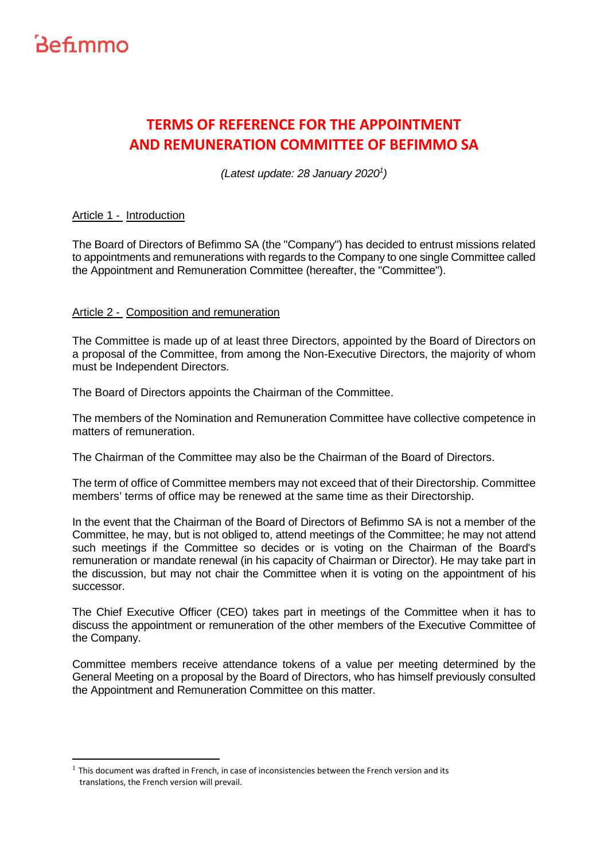

ı

### **TERMS OF REFERENCE FOR THE APPOINTMENT AND REMUNERATION COMMITTEE OF BEFIMMO SA**

(Latest update: 28 January 2020<sup>1</sup>)

### Article 1 - Introduction

The Board of Directors of Befimmo SA (the "Company") has decided to entrust missions related to appointments and remunerations with regards to the Company to one single Committee called the Appointment and Remuneration Committee (hereafter, the "Committee").

### Article 2 - Composition and remuneration

The Committee is made up of at least three Directors, appointed by the Board of Directors on a proposal of the Committee, from among the Non-Executive Directors, the majority of whom must be Independent Directors.

The Board of Directors appoints the Chairman of the Committee.

The members of the Nomination and Remuneration Committee have collective competence in matters of remuneration.

The Chairman of the Committee may also be the Chairman of the Board of Directors.

The term of office of Committee members may not exceed that of their Directorship. Committee members' terms of office may be renewed at the same time as their Directorship.

In the event that the Chairman of the Board of Directors of Befimmo SA is not a member of the Committee, he may, but is not obliged to, attend meetings of the Committee; he may not attend such meetings if the Committee so decides or is voting on the Chairman of the Board's remuneration or mandate renewal (in his capacity of Chairman or Director). He may take part in the discussion, but may not chair the Committee when it is voting on the appointment of his successor.

The Chief Executive Officer (CEO) takes part in meetings of the Committee when it has to discuss the appointment or remuneration of the other members of the Executive Committee of the Company.

Committee members receive attendance tokens of a value per meeting determined by the General Meeting on a proposal by the Board of Directors, who has himself previously consulted the Appointment and Remuneration Committee on this matter.

 $<sup>1</sup>$  This document was drafted in French, in case of inconsistencies between the French version and its</sup> translations, the French version will prevail.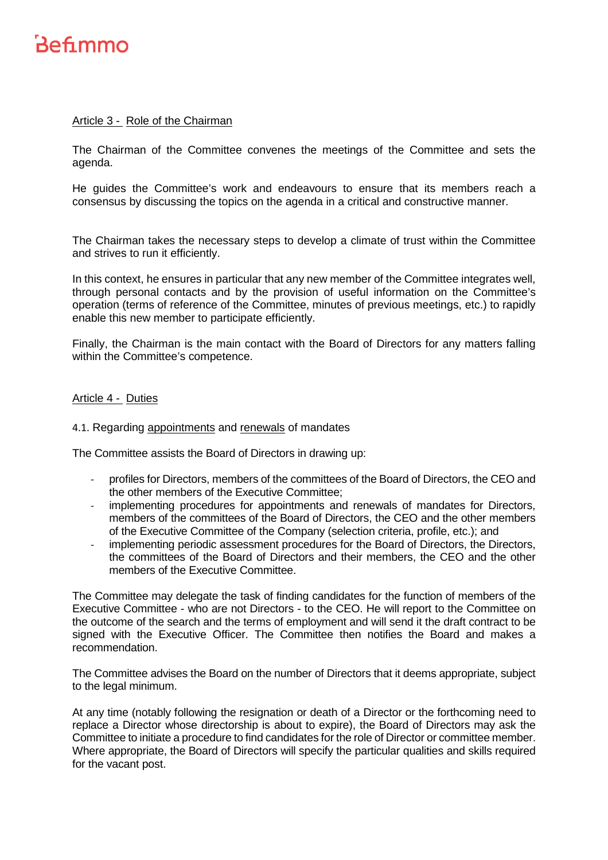### Article 3 - Role of the Chairman

The Chairman of the Committee convenes the meetings of the Committee and sets the agenda.

He guides the Committee's work and endeavours to ensure that its members reach a consensus by discussing the topics on the agenda in a critical and constructive manner.

The Chairman takes the necessary steps to develop a climate of trust within the Committee and strives to run it efficiently.

In this context, he ensures in particular that any new member of the Committee integrates well, through personal contacts and by the provision of useful information on the Committee's operation (terms of reference of the Committee, minutes of previous meetings, etc.) to rapidly enable this new member to participate efficiently.

Finally, the Chairman is the main contact with the Board of Directors for any matters falling within the Committee's competence.

### Article 4 - Duties

### 4.1. Regarding appointments and renewals of mandates

The Committee assists the Board of Directors in drawing up:

- profiles for Directors, members of the committees of the Board of Directors, the CEO and the other members of the Executive Committee;
- implementing procedures for appointments and renewals of mandates for Directors, members of the committees of the Board of Directors, the CEO and the other members of the Executive Committee of the Company (selection criteria, profile, etc.); and
- implementing periodic assessment procedures for the Board of Directors, the Directors, the committees of the Board of Directors and their members, the CEO and the other members of the Executive Committee.

The Committee may delegate the task of finding candidates for the function of members of the Executive Committee - who are not Directors - to the CEO. He will report to the Committee on the outcome of the search and the terms of employment and will send it the draft contract to be signed with the Executive Officer. The Committee then notifies the Board and makes a recommendation.

The Committee advises the Board on the number of Directors that it deems appropriate, subject to the legal minimum.

At any time (notably following the resignation or death of a Director or the forthcoming need to replace a Director whose directorship is about to expire), the Board of Directors may ask the Committee to initiate a procedure to find candidates for the role of Director or committee member. Where appropriate, the Board of Directors will specify the particular qualities and skills required for the vacant post.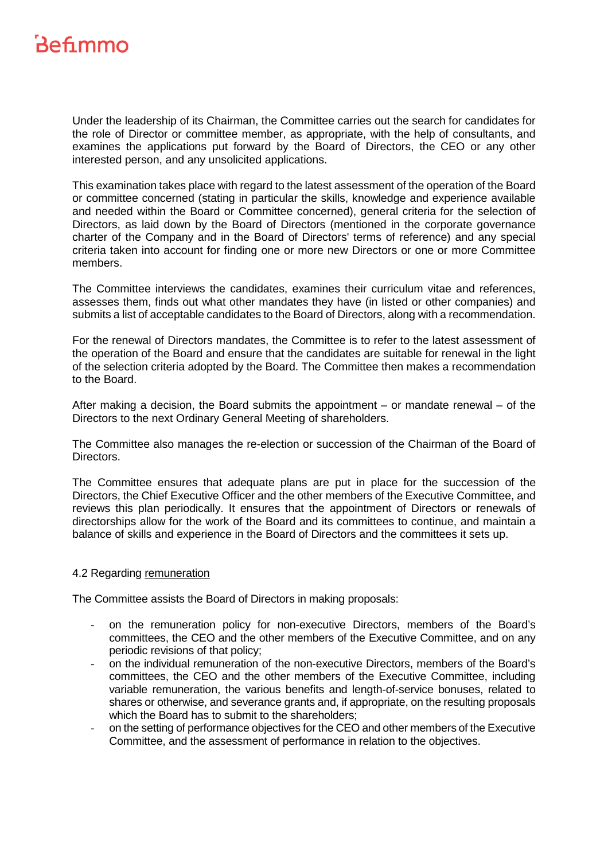Under the leadership of its Chairman, the Committee carries out the search for candidates for the role of Director or committee member, as appropriate, with the help of consultants, and examines the applications put forward by the Board of Directors, the CEO or any other interested person, and any unsolicited applications.

This examination takes place with regard to the latest assessment of the operation of the Board or committee concerned (stating in particular the skills, knowledge and experience available and needed within the Board or Committee concerned), general criteria for the selection of Directors, as laid down by the Board of Directors (mentioned in the corporate governance charter of the Company and in the Board of Directors' terms of reference) and any special criteria taken into account for finding one or more new Directors or one or more Committee members.

The Committee interviews the candidates, examines their curriculum vitae and references, assesses them, finds out what other mandates they have (in listed or other companies) and submits a list of acceptable candidates to the Board of Directors, along with a recommendation.

For the renewal of Directors mandates, the Committee is to refer to the latest assessment of the operation of the Board and ensure that the candidates are suitable for renewal in the light of the selection criteria adopted by the Board. The Committee then makes a recommendation to the Board.

After making a decision, the Board submits the appointment  $-$  or mandate renewal  $-$  of the Directors to the next Ordinary General Meeting of shareholders.

The Committee also manages the re-election or succession of the Chairman of the Board of Directors.

The Committee ensures that adequate plans are put in place for the succession of the Directors, the Chief Executive Officer and the other members of the Executive Committee, and reviews this plan periodically. It ensures that the appointment of Directors or renewals of directorships allow for the work of the Board and its committees to continue, and maintain a balance of skills and experience in the Board of Directors and the committees it sets up.

#### 4.2 Regarding remuneration

The Committee assists the Board of Directors in making proposals:

- *-* on the remuneration policy for non-executive Directors, members of the Board's committees, the CEO and the other members of the Executive Committee, and on any periodic revisions of that policy;
- *-* on the individual remuneration of the non-executive Directors, members of the Board's committees, the CEO and the other members of the Executive Committee, including variable remuneration, the various benefits and length-of-service bonuses, related to shares or otherwise, and severance grants and, if appropriate, on the resulting proposals which the Board has to submit to the shareholders;
- *-* on the setting of performance objectives for the CEO and other members of the Executive Committee, and the assessment of performance in relation to the objectives.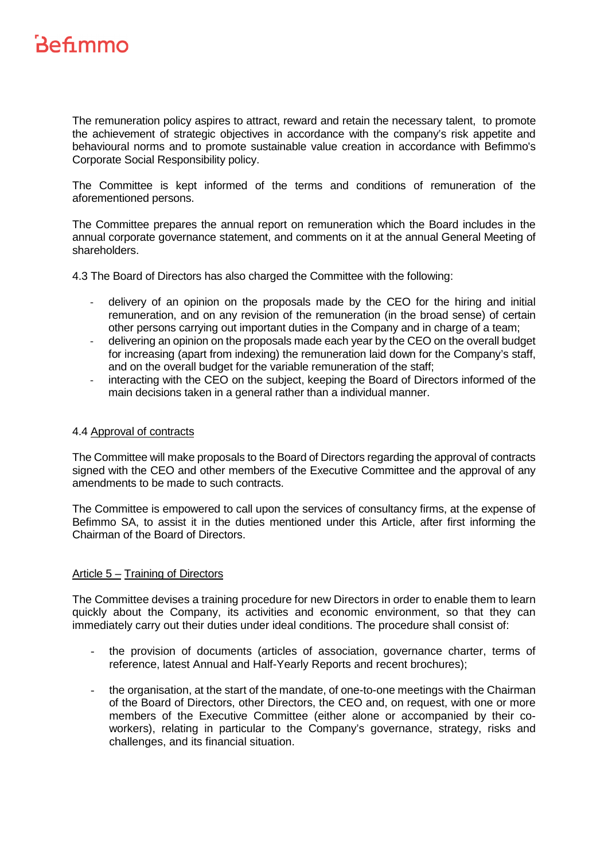The remuneration policy aspires to attract, reward and retain the necessary talent, to promote the achievement of strategic objectives in accordance with the company's risk appetite and behavioural norms and to promote sustainable value creation in accordance with Befimmo's Corporate Social Responsibility policy.

The Committee is kept informed of the terms and conditions of remuneration of the aforementioned persons.

The Committee prepares the annual report on remuneration which the Board includes in the annual corporate governance statement, and comments on it at the annual General Meeting of shareholders.

4.3 The Board of Directors has also charged the Committee with the following:

- delivery of an opinion on the proposals made by the CEO for the hiring and initial remuneration, and on any revision of the remuneration (in the broad sense) of certain other persons carrying out important duties in the Company and in charge of a team;
- delivering an opinion on the proposals made each year by the CEO on the overall budget for increasing (apart from indexing) the remuneration laid down for the Company's staff, and on the overall budget for the variable remuneration of the staff;
- interacting with the CEO on the subject, keeping the Board of Directors informed of the main decisions taken in a general rather than a individual manner.

#### 4.4 Approval of contracts

The Committee will make proposals to the Board of Directors regarding the approval of contracts signed with the CEO and other members of the Executive Committee and the approval of any amendments to be made to such contracts.

The Committee is empowered to call upon the services of consultancy firms, at the expense of Befimmo SA, to assist it in the duties mentioned under this Article, after first informing the Chairman of the Board of Directors.

#### Article 5 – Training of Directors

The Committee devises a training procedure for new Directors in order to enable them to learn quickly about the Company, its activities and economic environment, so that they can immediately carry out their duties under ideal conditions. The procedure shall consist of:

- the provision of documents (articles of association, governance charter, terms of reference, latest Annual and Half-Yearly Reports and recent brochures);
- the organisation, at the start of the mandate, of one-to-one meetings with the Chairman of the Board of Directors, other Directors, the CEO and, on request, with one or more members of the Executive Committee (either alone or accompanied by their coworkers), relating in particular to the Company's governance, strategy, risks and challenges, and its financial situation.